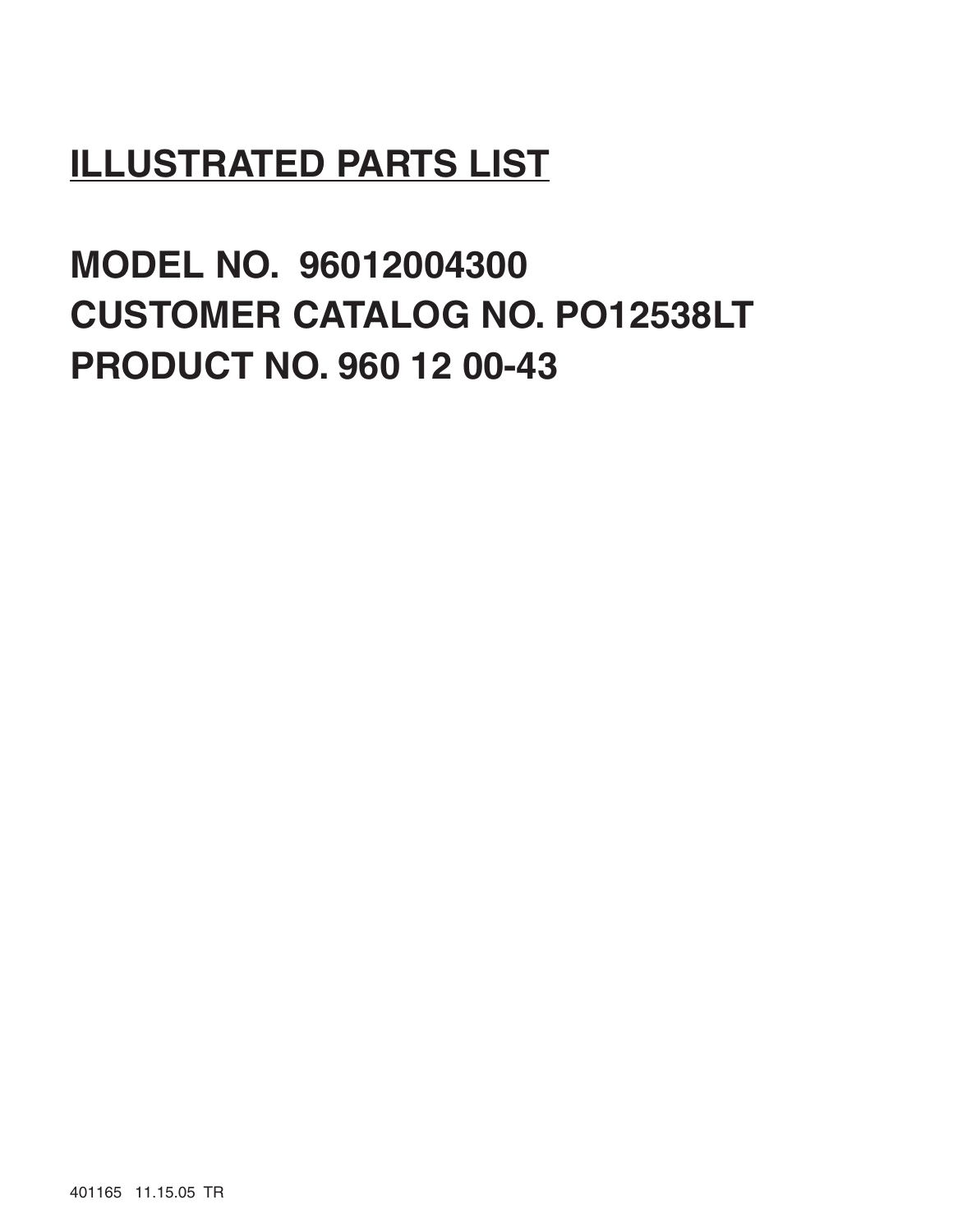# **ILLUSTRATED PARTS LIST**

**MODEL NO. 96012004300 CUSTOMER CATALOG NO. PO12538LT PRODUCT NO. 960 12 00-43**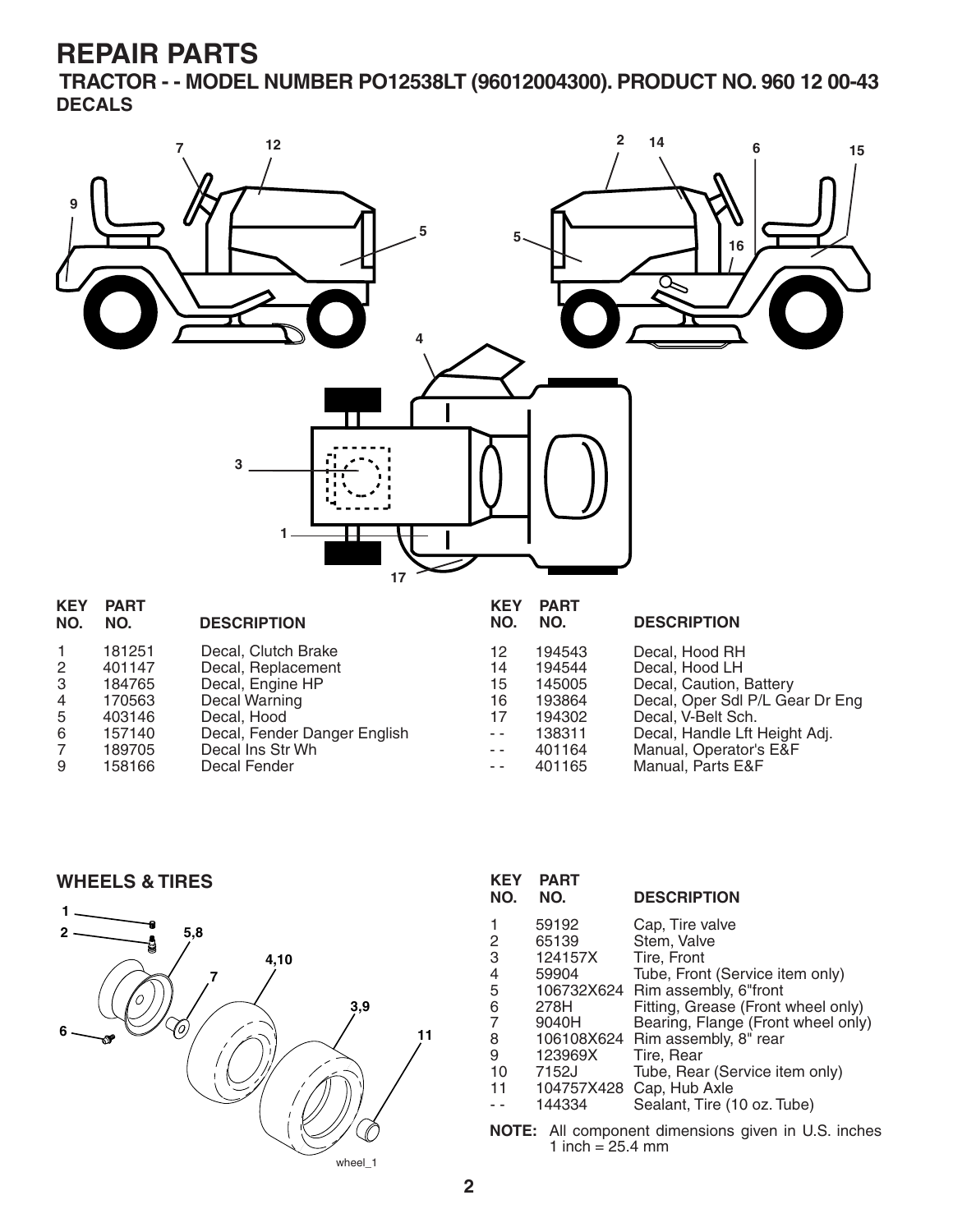**TRACTOR - - MODEL NUMBER PO12538LT (96012004300). PRODUCT NO. 960 12 00-43 DECALS**



|                | 181251 | Decal, Clutch Brake          | 12   | 194543 | Decal, Hood RH                  |
|----------------|--------|------------------------------|------|--------|---------------------------------|
| $\overline{2}$ | 401147 | Decal, Replacement           | 14   | 194544 | Decal, Hood LH                  |
| 3              | 184765 | Decal, Engine HP             | 15   | 145005 | Decal, Caution, Battery         |
| 4              | 170563 | Decal Warning                | 16   | 193864 | Decal, Oper Sdl P/L Gear Dr Eng |
| 5              | 403146 | Decal, Hood                  |      | 194302 | Decal, V-Belt Sch.              |
| 6              | 157140 | Decal, Fender Danger English | $ -$ | 138311 | Decal, Handle Lft Height Adj.   |
| $\overline{7}$ | 189705 | Decal Ins Str Wh             | $ -$ | 401164 | Manual, Operator's E&F          |
| 9              | 158166 | Decal Fender                 | $ -$ | 401165 | Manual, Parts E&F               |
|                |        |                              |      |        |                                 |

**WHEELS & TIRES**



| <b>KEY</b><br>NO.                                     | <b>PART</b><br>NO. | <b>DESCRIPTION</b>                 |  |  |
|-------------------------------------------------------|--------------------|------------------------------------|--|--|
| 1                                                     | 59192              | Cap, Tire valve                    |  |  |
| 2                                                     | 65139              | Stem, Valve                        |  |  |
| 3                                                     | 124157X            | Tire. Front                        |  |  |
| $\overline{\mathcal{L}}$                              | 59904              | Tube, Front (Service item only)    |  |  |
| 5                                                     |                    | 106732X624 Rim assembly, 6"front   |  |  |
| 6                                                     | 278H               | Fitting, Grease (Front wheel only) |  |  |
| $\overline{7}$                                        | 9040H              | Bearing, Flange (Front wheel only) |  |  |
| 8                                                     |                    | 106108X624 Rim assembly, 8" rear   |  |  |
| 9                                                     | 123969X            | Tire, Rear                         |  |  |
| 10                                                    | 7152J              | Tube, Rear (Service item only)     |  |  |
| 11                                                    | 104757X428         | Cap, Hub Axle                      |  |  |
|                                                       | 144334             | Sealant, Tire (10 oz. Tube)        |  |  |
| All component dimensions given in U.S. inche<br>NOTE: |                    |                                    |  |  |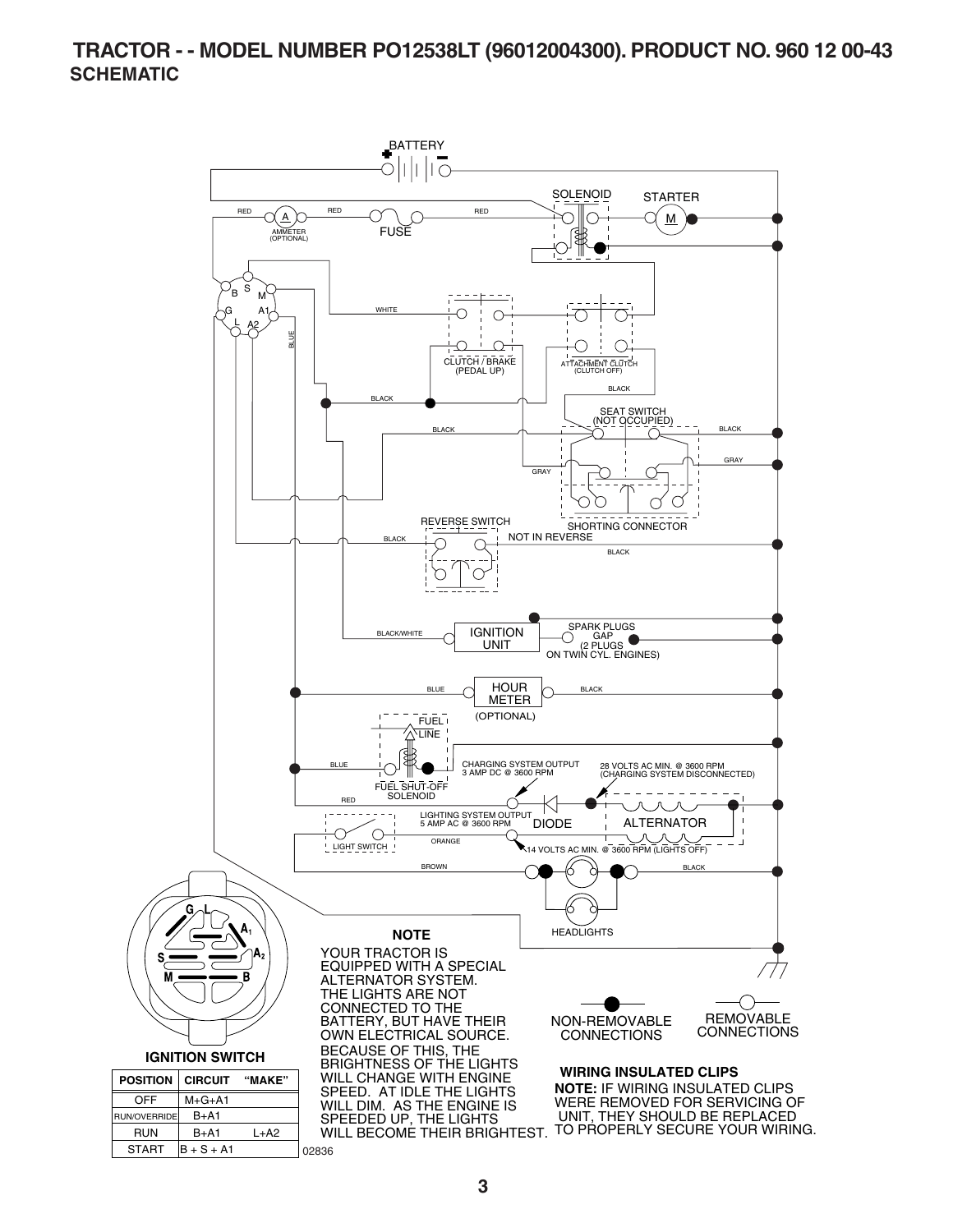#### **TRACTOR - - MODEL NUMBER PO12538LT (96012004300). PRODUCT NO. 960 12 00-43 SCHEMATIC**

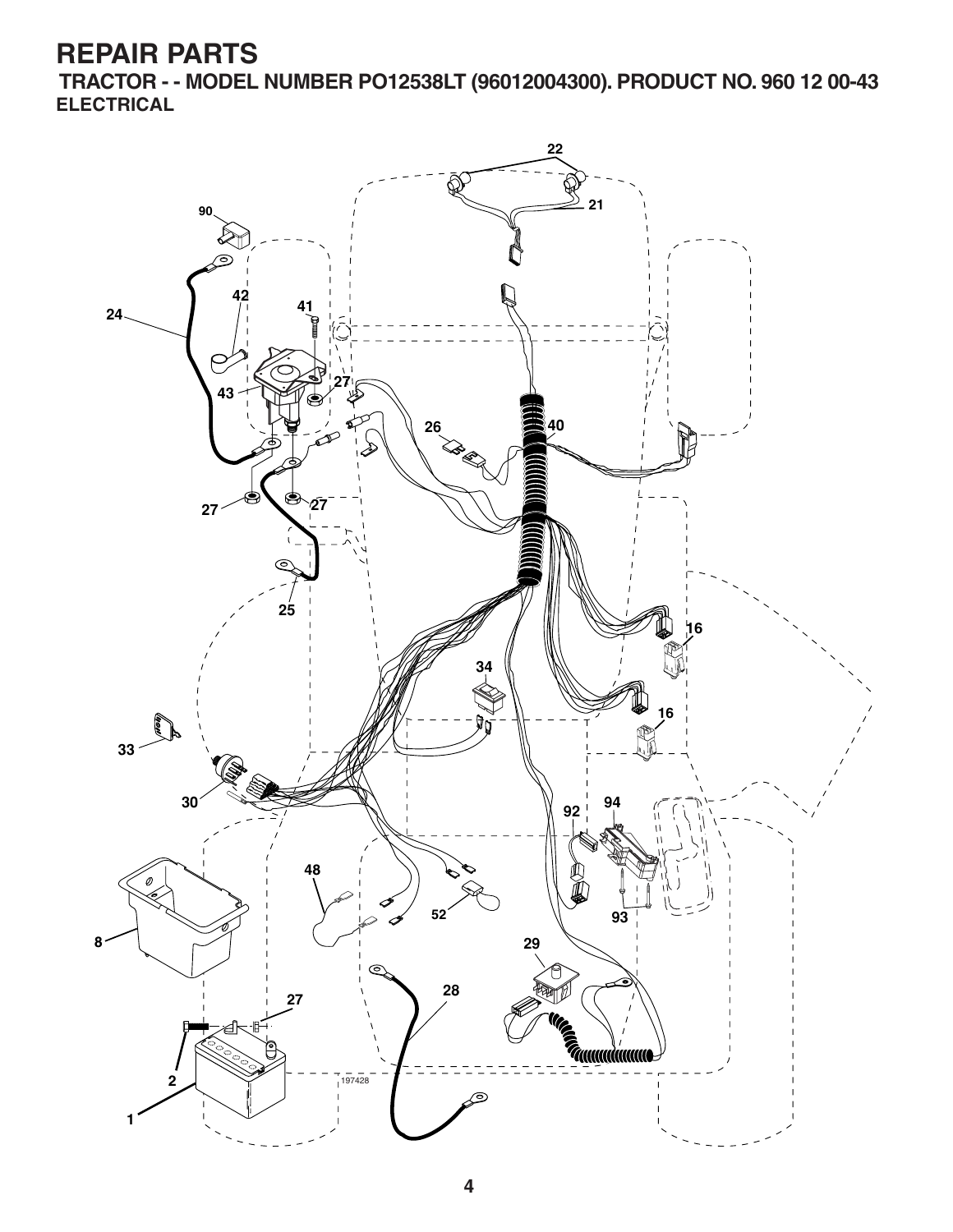**TRACTOR - - MODEL NUMBER PO12538LT (96012004300). PRODUCT NO. 960 12 00-43 ELECTRICAL**

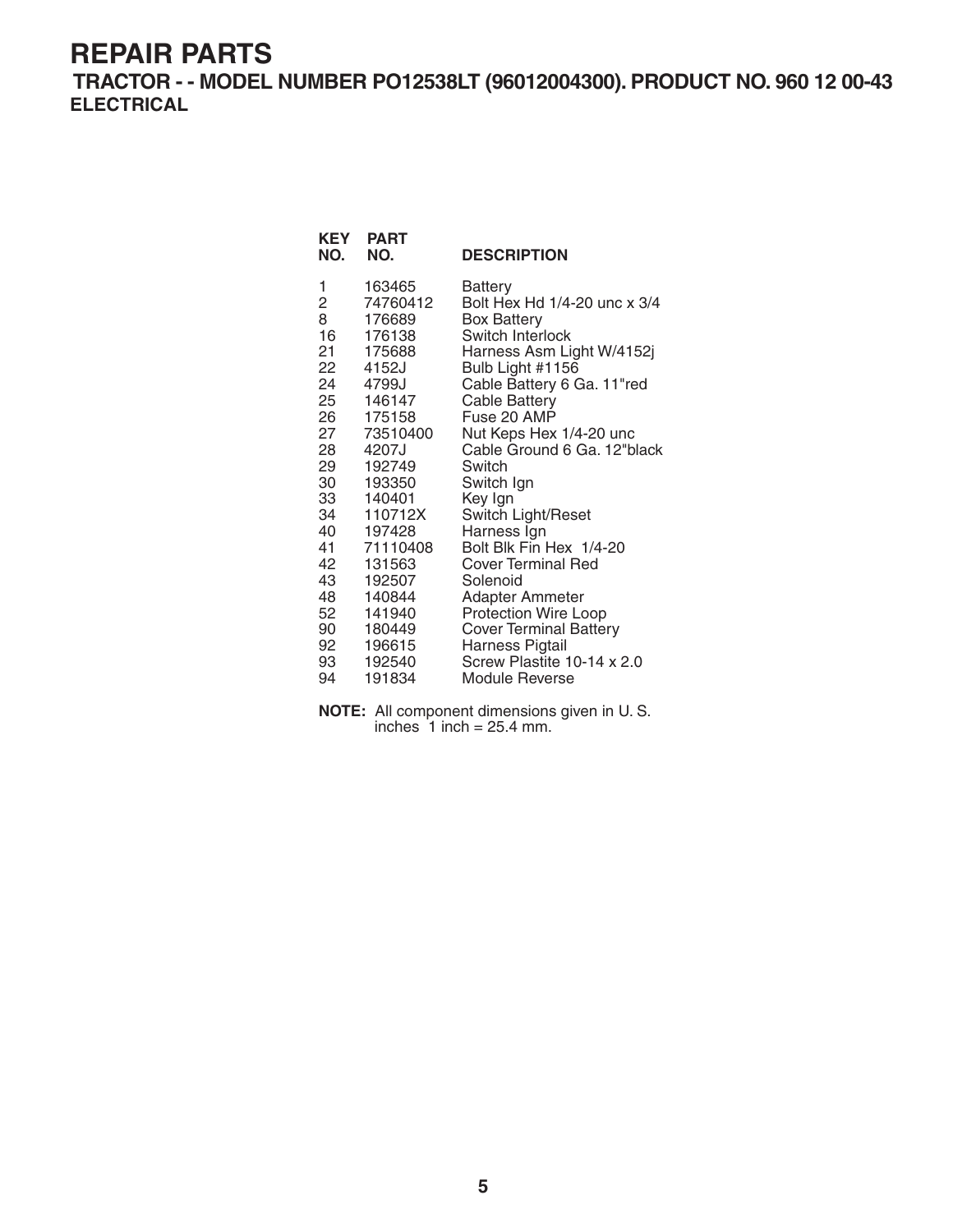**TRACTOR - - MODEL NUMBER PO12538LT (96012004300). PRODUCT NO. 960 12 00-43 ELECTRICAL**

| KEY<br>NO.                                                   | <b>PART</b><br>NO.                                                                     | <b>DESCRIPTION</b>                                                                                                                                                                                      |
|--------------------------------------------------------------|----------------------------------------------------------------------------------------|---------------------------------------------------------------------------------------------------------------------------------------------------------------------------------------------------------|
| 1<br>$\overline{2}$<br>8<br>16<br>21<br>22<br>24<br>25<br>26 | 163465<br>74760412<br>176689<br>176138<br>175688<br>4152J<br>4799J<br>146147<br>175158 | <b>Battery</b><br>Bolt Hex Hd 1/4-20 unc x 3/4<br><b>Box Battery</b><br>Switch Interlock<br>Harness Asm Light W/4152j<br>Bulb Light #1156<br>Cable Battery 6 Ga. 11"red<br>Cable Battery<br>Fuse 20 AMP |
| 27<br>28                                                     | 73510400<br>4207J                                                                      | Nut Keps Hex 1/4-20 unc<br>Cable Ground 6 Ga. 12"black                                                                                                                                                  |
| 29                                                           | 192749                                                                                 | Switch                                                                                                                                                                                                  |
| 30<br>33                                                     | 193350<br>140401                                                                       | Switch Ign<br>Key Ign                                                                                                                                                                                   |
| 34                                                           | 110712X                                                                                | Switch Light/Reset                                                                                                                                                                                      |
| 40<br>41                                                     | 197428<br>71110408                                                                     | Harness Ign<br>Bolt Blk Fin Hex 1/4-20                                                                                                                                                                  |
| 42                                                           | 131563                                                                                 | <b>Cover Terminal Red</b>                                                                                                                                                                               |
| 43                                                           | 192507                                                                                 | Solenoid                                                                                                                                                                                                |
| 48                                                           | 140844                                                                                 | Adapter Ammeter                                                                                                                                                                                         |
| 52<br>90                                                     | 141940<br>180449                                                                       | <b>Protection Wire Loop</b><br><b>Cover Terminal Battery</b>                                                                                                                                            |
| 92                                                           | 196615                                                                                 | Harness Pigtail                                                                                                                                                                                         |
| 93                                                           | 192540                                                                                 | Screw Plastite 10-14 x 2.0                                                                                                                                                                              |
| 94                                                           | 191834                                                                                 | <b>Module Reverse</b>                                                                                                                                                                                   |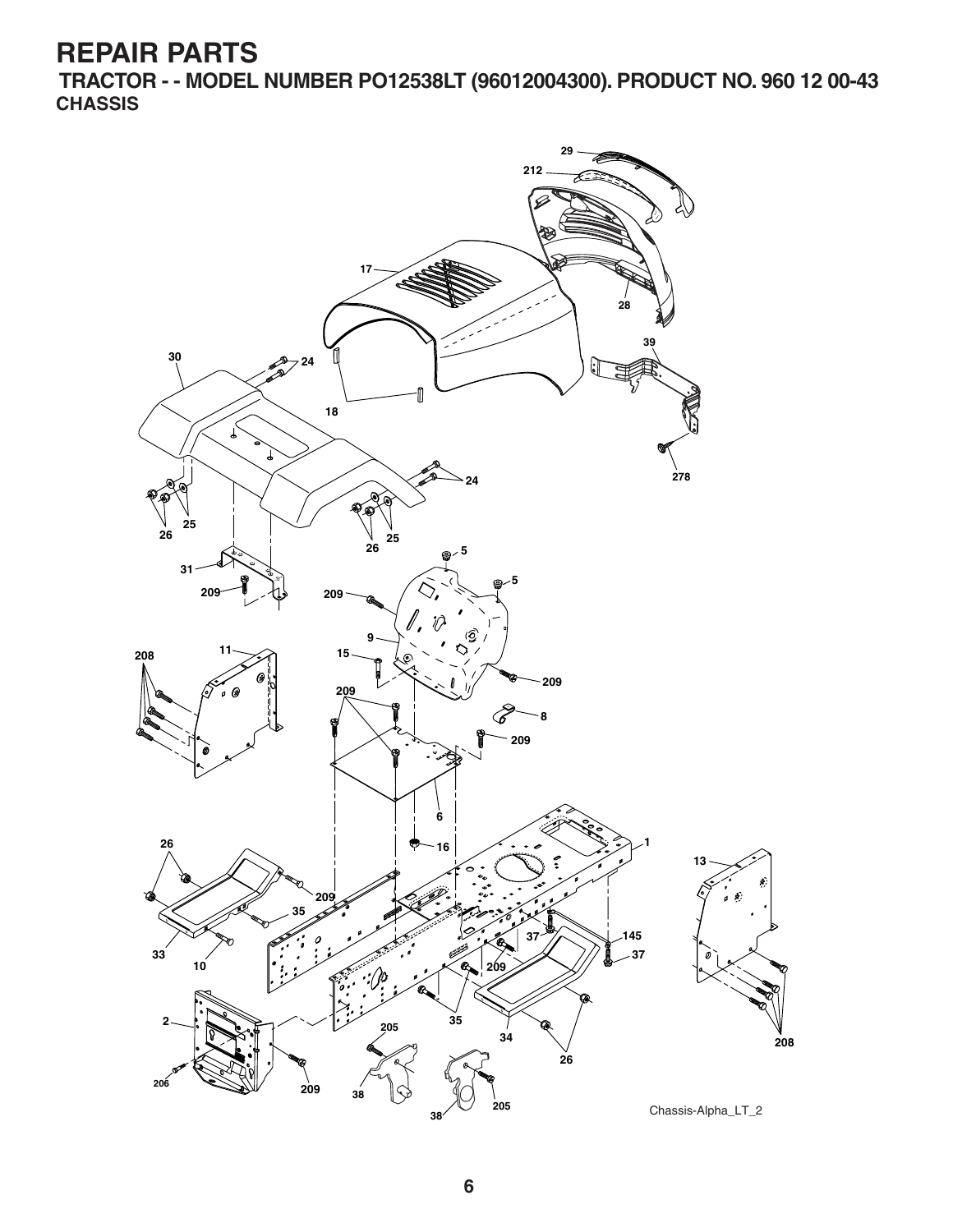**TRACTOR - - MODEL NUMBER PO12538LT (96012004300). PRODUCT NO. 960 12 00-43 CHASSIS**

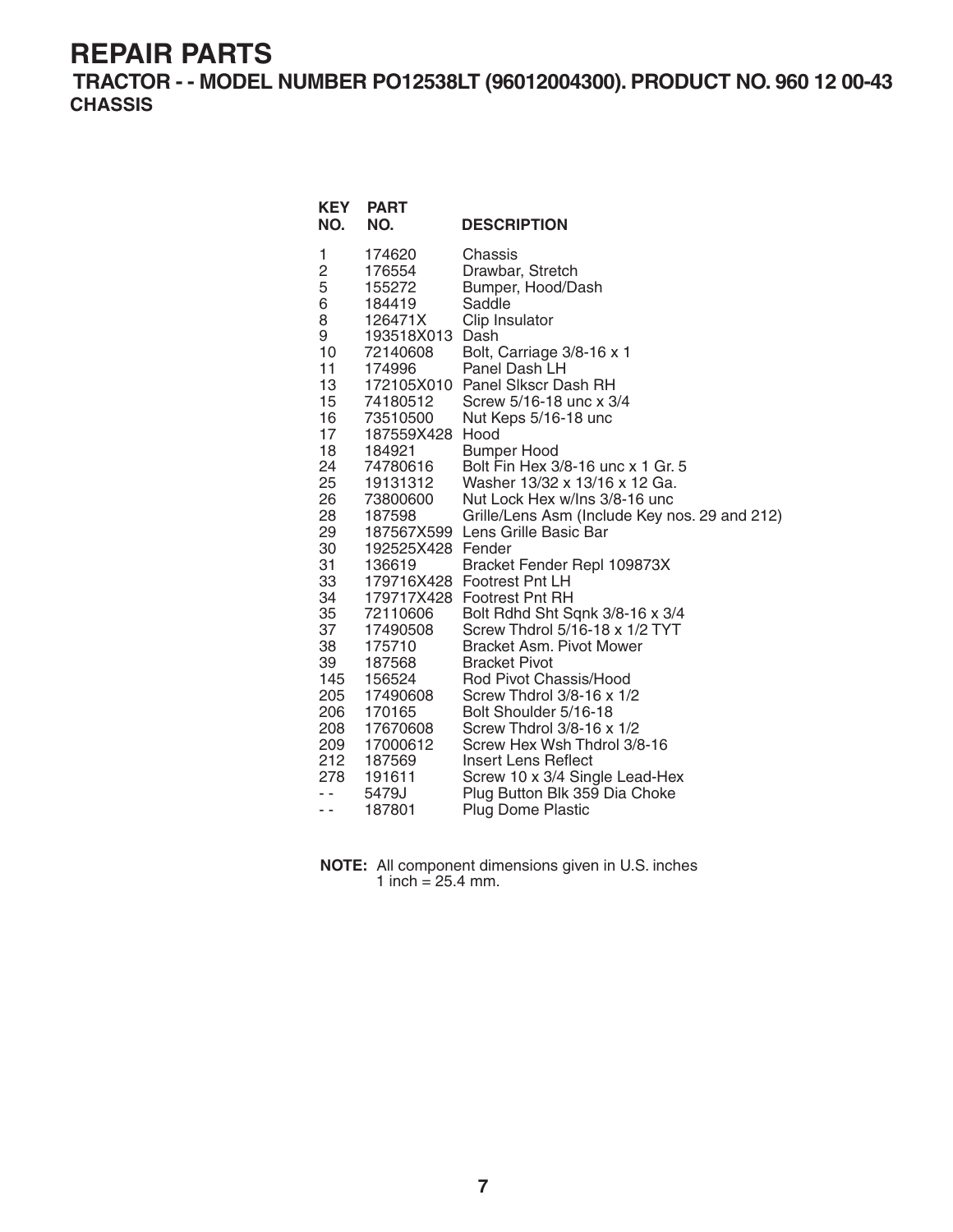**TRACTOR - - MODEL NUMBER PO12538LT (96012004300). PRODUCT NO. 960 12 00-43 CHASSIS**

| NO.        | <b>KEY PART</b><br>NO. | <b>DESCRIPTION</b>                                                             |
|------------|------------------------|--------------------------------------------------------------------------------|
| 1          | 174620                 | Chassis                                                                        |
| 2<br>5     | 176554                 | Drawbar, Stretch                                                               |
| 6          | 155272                 | Bumper, Hood/Dash<br>Saddle                                                    |
| 8          | 184419<br>126471X      | Clip Insulator                                                                 |
| 9          | 193518X013             | Dash                                                                           |
| 10         | 72140608               | Bolt, Carriage 3/8-16 x 1                                                      |
| 11         | 174996                 | Panel Dash LH                                                                  |
| 13         |                        | 172105X010 Panel Slkscr Dash RH                                                |
| 15         | 74180512               | Screw 5/16-18 unc x 3/4                                                        |
| 16         | 73510500               | Nut Keps 5/16-18 unc                                                           |
| 17         | 187559X428             | Hood                                                                           |
| 18         | 184921                 | <b>Bumper Hood</b>                                                             |
| 24         | 74780616               | Bolt Fin Hex 3/8-16 unc x 1 Gr. 5                                              |
| 25         | 19131312               | Washer 13/32 x 13/16 x 12 Ga.                                                  |
| 26<br>28   | 73800600<br>187598     | Nut Lock Hex w/Ins 3/8-16 unc<br>Grille/Lens Asm (Include Key nos. 29 and 212) |
| 29         |                        | 187567X599 Lens Grille Basic Bar                                               |
| 30         | 192525X428 Fender      |                                                                                |
| 31         | 136619                 | Bracket Fender Repl 109873X                                                    |
| 33         |                        | 179716X428 Footrest Pnt LH                                                     |
| 34         | 179717X428             | <b>Footrest Pnt RH</b>                                                         |
| 35         | 72110606               | Bolt Rdhd Sht Sqnk 3/8-16 x 3/4                                                |
| 37         | 17490508               | Screw Thdrol 5/16-18 x 1/2 TYT                                                 |
| 38         | 175710                 | Bracket Asm. Pivot Mower                                                       |
| 39         | 187568                 | <b>Bracket Pivot</b>                                                           |
| 145        | 156524                 | Rod Pivot Chassis/Hood                                                         |
| 205<br>206 | 17490608               | Screw Thdrol 3/8-16 x 1/2                                                      |
| 208        | 170165<br>17670608     | Bolt Shoulder 5/16-18<br>Screw Thdrol 3/8-16 x 1/2                             |
| 209        | 17000612               | Screw Hex Wsh Thdrol 3/8-16                                                    |
| 212        | 187569                 | Insert Lens Reflect                                                            |
| 278        | 191611                 | Screw 10 x 3/4 Single Lead-Hex                                                 |
|            | 5479J                  | Plug Button Blk 359 Dia Choke                                                  |
| - -        | 187801                 | <b>Plug Dome Plastic</b>                                                       |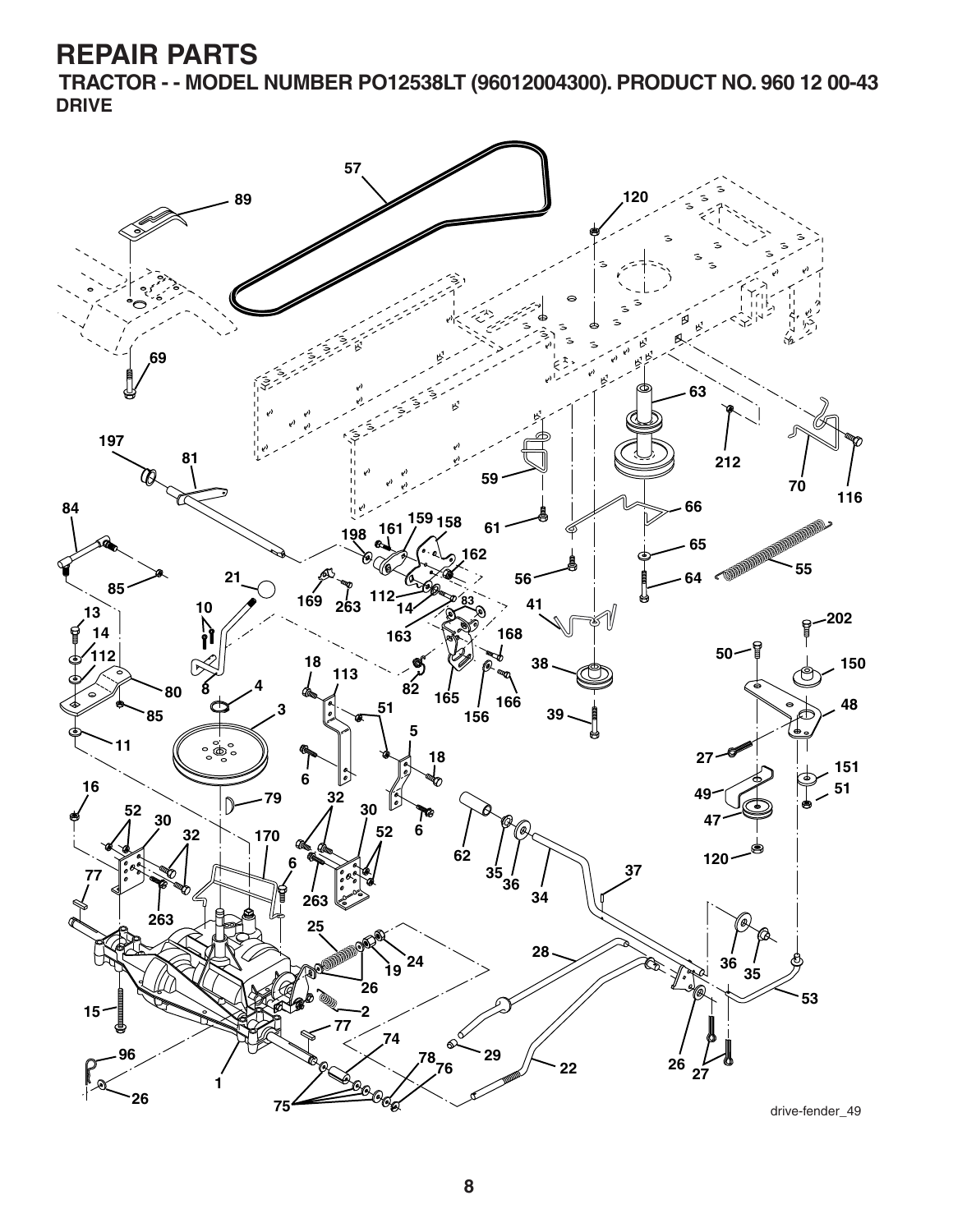**TRACTOR - - MODEL NUMBER PO12538LT (96012004300). PRODUCT NO. 960 12 00-43 DRIVE**



drive-fender\_49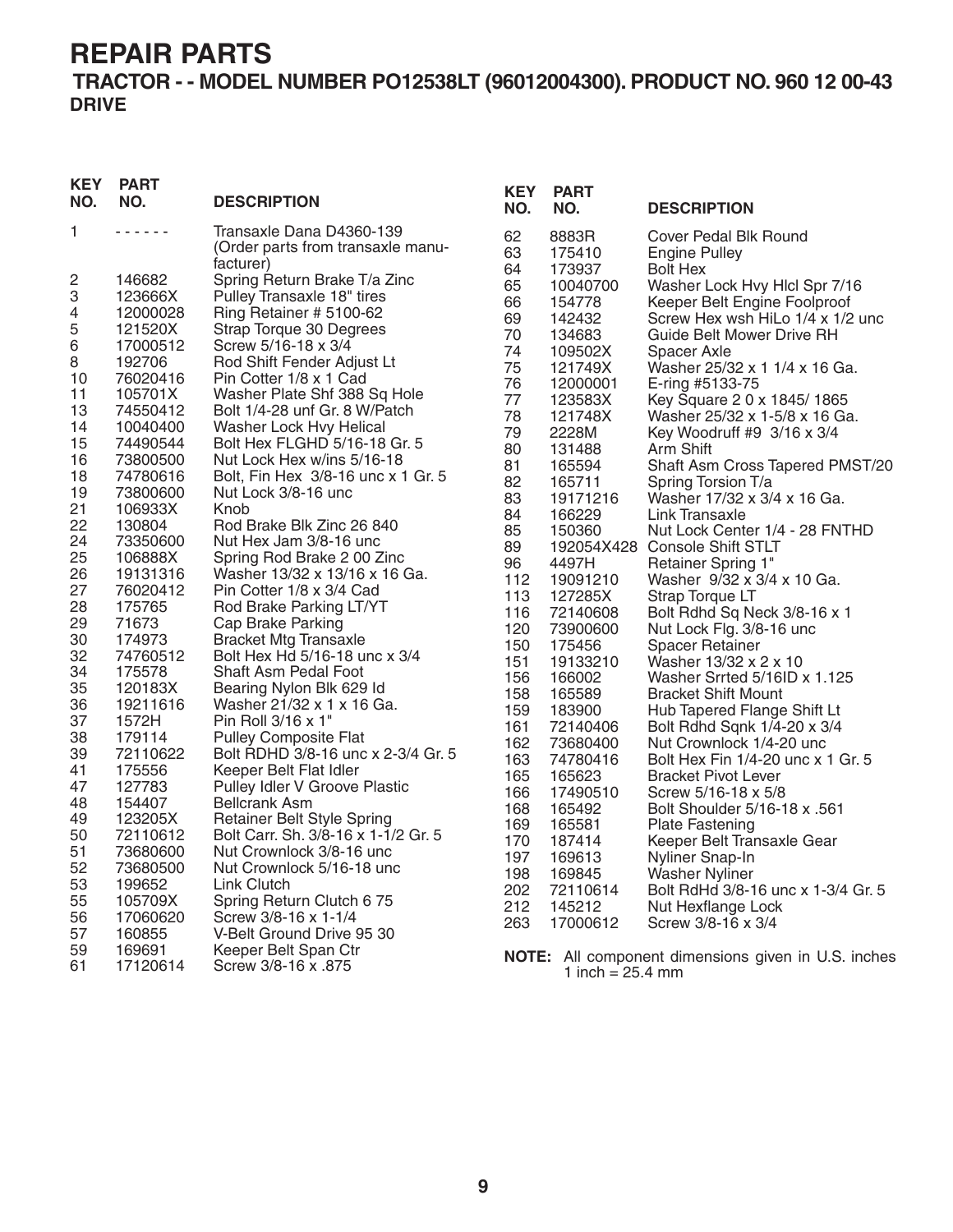#### **TRACTOR - - MODEL NUMBER PO12538LT (96012004300). PRODUCT NO. 960 12 00-43 DRIVE**

| <b>KEY</b><br>NO. | <b>PART</b><br>NO.   | <b>DESCRIPTION</b>                                               | <b>KEY</b><br>NO. | <b>PART</b><br>NO.           | <b>DESCRIPTION</b>                                               |
|-------------------|----------------------|------------------------------------------------------------------|-------------------|------------------------------|------------------------------------------------------------------|
| 1                 |                      | Transaxle Dana D4360-139<br>(Order parts from transaxle manu-    | 62                | 8883R                        | Cover Pedal Blk Round                                            |
|                   |                      | facturer)                                                        | 63                | 175410                       | Engine Pulley                                                    |
| 2                 | 146682               | Spring Return Brake T/a Zinc                                     | 64                | 173937                       | <b>Bolt Hex</b>                                                  |
| 3                 | 123666X              | Pulley Transaxle 18" tires                                       | 65<br>66          | 10040700                     | Washer Lock Hvy Hlcl Spr 7/16                                    |
| 4                 | 12000028             | Ring Retainer # 5100-62                                          | 69                | 154778<br>142432             | Keeper Belt Engine Foolproof<br>Screw Hex wsh HiLo 1/4 x 1/2 unc |
| 5                 | 121520X              | Strap Torque 30 Degrees                                          | 70                | 134683                       | <b>Guide Belt Mower Drive RH</b>                                 |
| 6                 | 17000512             | Screw 5/16-18 x 3/4                                              | 74                | 109502X                      | Spacer Axle                                                      |
| 8                 | 192706               | Rod Shift Fender Adjust Lt                                       | 75                | 121749X                      | Washer 25/32 x 1 1/4 x 16 Ga.                                    |
| 10                | 76020416             | Pin Cotter 1/8 x 1 Cad                                           | 76                | 12000001                     | E-ring #5133-75                                                  |
| 11                | 105701X              | Washer Plate Shf 388 Sq Hole                                     | 77                | 123583X                      | Key Square 2 0 x 1845/1865                                       |
| 13                | 74550412             | Bolt 1/4-28 unf Gr. 8 W/Patch                                    | 78                | 121748X                      | Washer 25/32 x 1-5/8 x 16 Ga.                                    |
| 14                | 10040400             | Washer Lock Hvy Helical                                          | 79                | 2228M                        | Key Woodruff #9 3/16 x 3/4                                       |
| 15                | 74490544             | Bolt Hex FLGHD 5/16-18 Gr. 5                                     | 80                | 131488                       | Arm Shift                                                        |
| 16<br>18          | 73800500<br>74780616 | Nut Lock Hex w/ins 5/16-18<br>Bolt, Fin Hex 3/8-16 unc x 1 Gr. 5 | 81                | 165594                       | Shaft Asm Cross Tapered PMST/20                                  |
| 19                | 73800600             | Nut Lock 3/8-16 unc                                              | 82                | 165711                       | Spring Torsion T/a                                               |
| 21                | 106933X              | Knob                                                             | 83                | 19171216                     | Washer 17/32 x 3/4 x 16 Ga.                                      |
| 22                | 130804               | Rod Brake Blk Zinc 26 840                                        | 84                | 166229                       | Link Transaxle                                                   |
| 24                | 73350600             | Nut Hex Jam 3/8-16 unc                                           | 85<br>89          | 150360                       | Nut Lock Center 1/4 - 28 FNTHD<br>192054X428 Console Shift STLT  |
| 25                | 106888X              | Spring Rod Brake 2 00 Zinc                                       | 96                | 4497H                        | Retainer Spring 1"                                               |
| 26                | 19131316             | Washer 13/32 x 13/16 x 16 Ga.                                    | 112               | 19091210                     | Washer 9/32 x 3/4 x 10 Ga.                                       |
| 27                | 76020412             | Pin Cotter 1/8 x 3/4 Cad                                         | 113               | 127285X                      | Strap Torque LT                                                  |
| 28                | 175765               | Rod Brake Parking LT/YT                                          | 116               | 72140608                     | Bolt Rdhd Sq Neck 3/8-16 x 1                                     |
| 29                | 71673                | Cap Brake Parking                                                | 120               | 73900600                     | Nut Lock Flg. 3/8-16 unc                                         |
| 30                | 174973               | <b>Bracket Mtg Transaxle</b>                                     | 150               | 175456                       | <b>Spacer Retainer</b>                                           |
| 32                | 74760512             | Bolt Hex Hd 5/16-18 unc x 3/4                                    | 151               | 19133210                     | Washer 13/32 x 2 x 10                                            |
| 34                | 175578               | Shaft Asm Pedal Foot                                             | 156               | 166002                       | Washer Srrted 5/16ID x 1.125                                     |
| 35                | 120183X              | Bearing Nylon Blk 629 ld                                         | 158               | 165589                       | <b>Bracket Shift Mount</b>                                       |
| 36                | 19211616             | Washer 21/32 x 1 x 16 Ga.                                        | 159               | 183900                       | Hub Tapered Flange Shift Lt                                      |
| 37<br>38          | 1572H<br>179114      | Pin Roll 3/16 x 1"<br><b>Pulley Composite Flat</b>               | 161               | 72140406                     | Bolt Rdhd Sqnk 1/4-20 x 3/4                                      |
| 39                | 72110622             | Bolt RDHD 3/8-16 unc x 2-3/4 Gr. 5                               | 162               | 73680400                     | Nut Crownlock 1/4-20 unc                                         |
| 41                | 175556               | Keeper Belt Flat Idler                                           | 163               | 74780416                     | Bolt Hex Fin 1/4-20 unc x 1 Gr. 5                                |
| 47                | 127783               | Pulley Idler V Groove Plastic                                    | 165               | 165623                       | <b>Bracket Pivot Lever</b>                                       |
| 48                | 154407               | <b>Bellcrank Asm</b>                                             | 166<br>168        | 17490510<br>165492           | Screw 5/16-18 x 5/8                                              |
| 49                | 123205X              | <b>Retainer Belt Style Spring</b>                                | 169               | 165581                       | Bolt Shoulder 5/16-18 x .561<br><b>Plate Fastening</b>           |
| 50                | 72110612             | Bolt Carr, Sh. 3/8-16 x 1-1/2 Gr. 5                              | 170               | 187414                       | Keeper Belt Transaxle Gear                                       |
| 51                | 73680600             | Nut Crownlock 3/8-16 unc                                         | 197               | 169613                       | Nyliner Snap-In                                                  |
| 52                | 73680500             | Nut Crownlock 5/16-18 unc                                        | 198               | 169845                       | <b>Washer Nyliner</b>                                            |
| 53                | 199652               | Link Clutch                                                      | 202               | 72110614                     | Bolt RdHd 3/8-16 unc x 1-3/4 Gr. 5                               |
| 55                | 105709X              | Spring Return Clutch 6 75                                        | 212               | 145212                       | Nut Hexflange Lock                                               |
| 56                | 17060620             | Screw 3/8-16 x 1-1/4                                             | 263               | 17000612                     | Screw 3/8-16 x 3/4                                               |
| 57                | 160855               | V-Belt Ground Drive 95 30                                        |                   |                              |                                                                  |
| 59                | 169691               | Keeper Belt Span Ctr                                             |                   |                              | NOTE: All component dimensions given in U.S. inches              |
| 61                | 17120614             | Screw 3/8-16 x .875                                              |                   | 1 inch = $25.4 \, \text{mm}$ |                                                                  |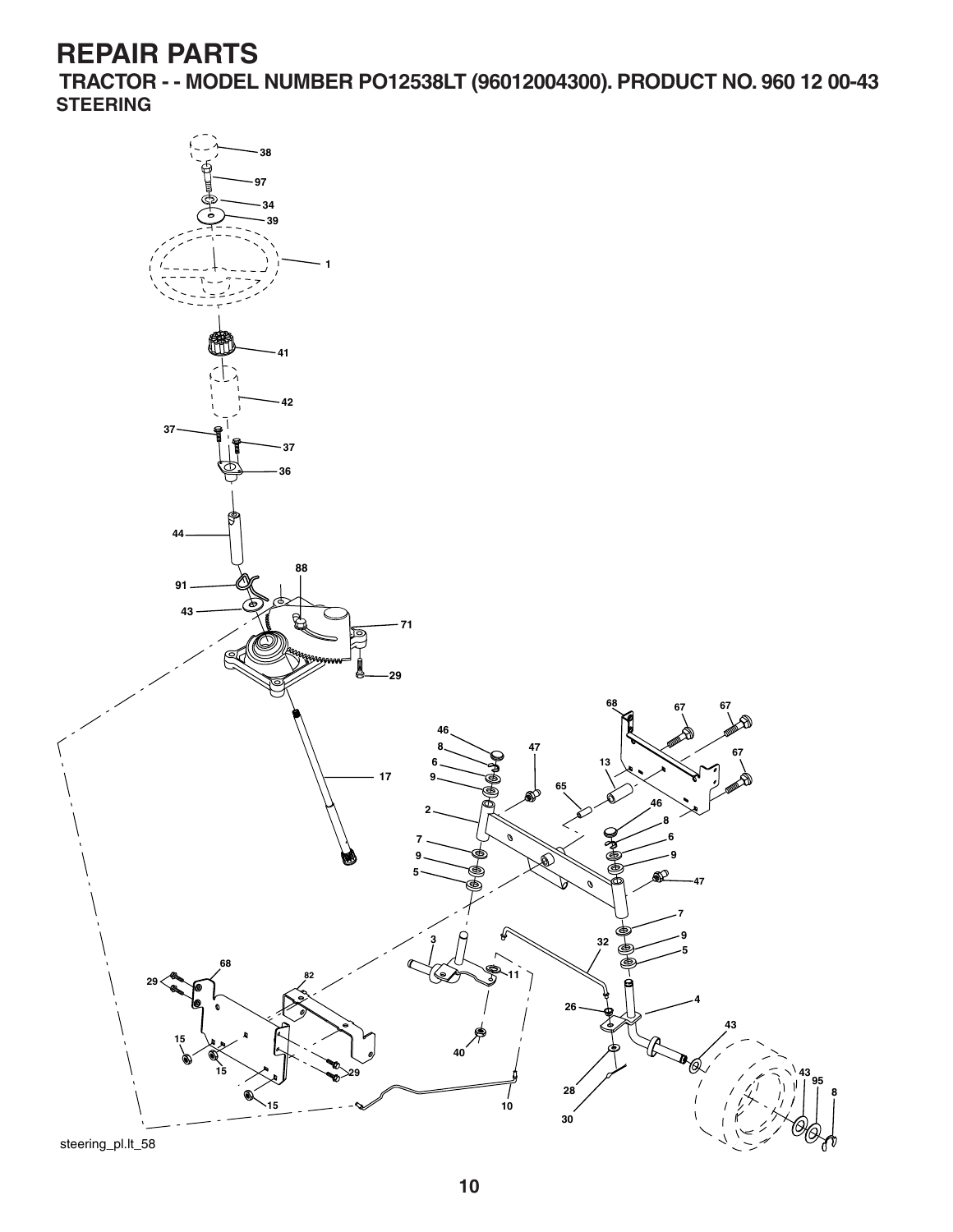**TRACTOR - - MODEL NUMBER PO12538LT (96012004300). PRODUCT NO. 960 12 00-43 STEERING**

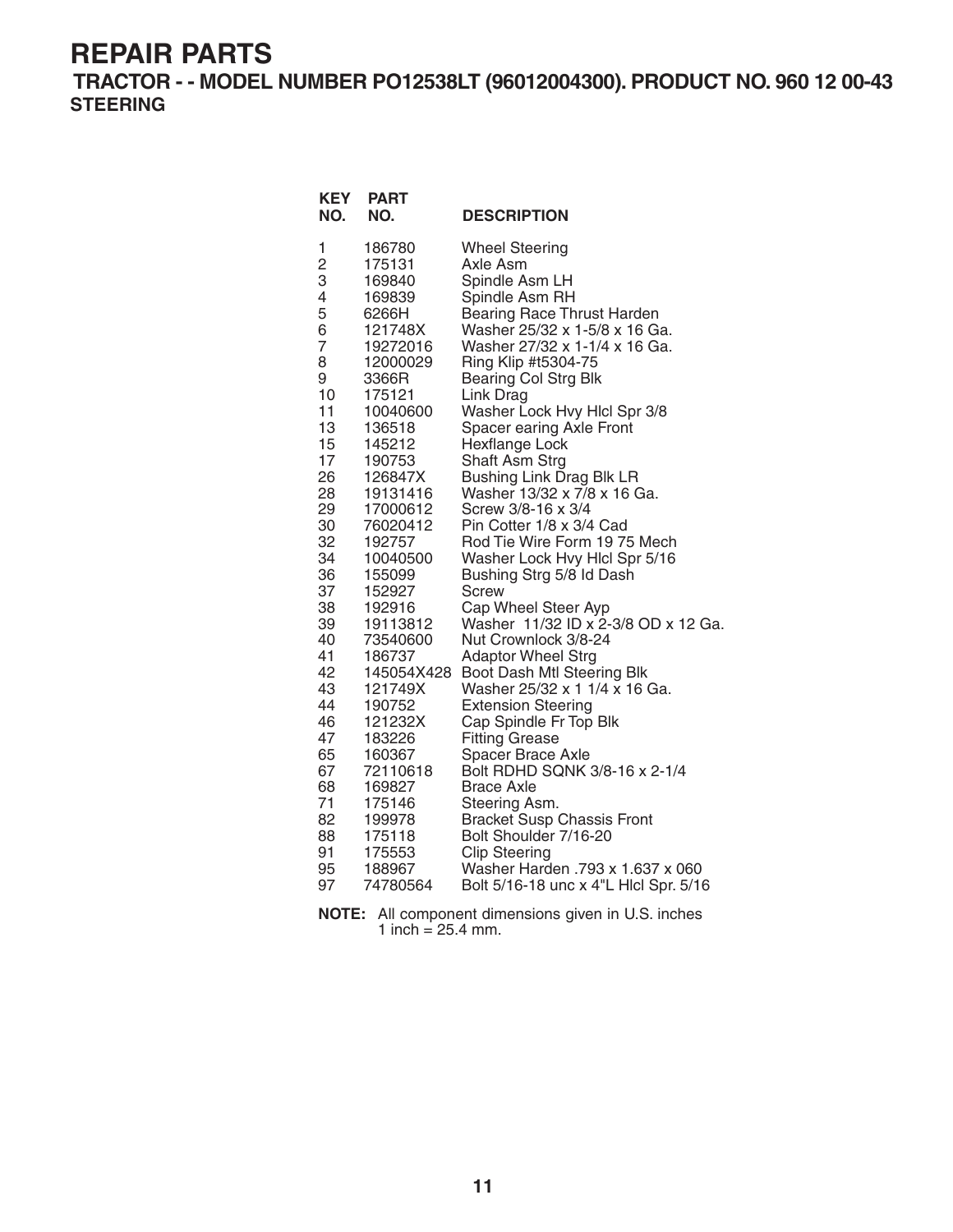**TRACTOR - - MODEL NUMBER PO12538LT (96012004300). PRODUCT NO. 960 12 00-43 STEERING**

| <b>KEY</b><br>NO.   | <b>PART</b><br>NO.   | <b>DESCRIPTION</b>                                            |
|---------------------|----------------------|---------------------------------------------------------------|
| 1                   | 186780<br>175131     | <b>Wheel Steering</b><br>Axle Asm                             |
| $\frac{2}{3}$       | 169840               | Spindle Asm LH                                                |
| 4<br>5              | 169839<br>6266H      | Spindle Asm RH<br><b>Bearing Race Thrust Harden</b>           |
| 6<br>$\overline{7}$ | 121748X              | Washer 25/32 x 1-5/8 x 16 Ga.                                 |
| 8                   | 19272016<br>12000029 | Washer 27/32 x 1-1/4 x 16 Ga.<br>Ring Klip #t5304-75          |
| 9                   | 3366R                | <b>Bearing Col Strg Blk</b>                                   |
| 10<br>11            | 175121<br>10040600   | Link Drag<br>Washer Lock Hvy Hlcl Spr 3/8                     |
| 13                  | 136518               | Spacer earing Axle Front                                      |
| 15<br>17            | 145212<br>190753     | Hexflange Lock<br>Shaft Asm Strg                              |
| 26                  | 126847X              | <b>Bushing Link Drag Blk LR</b>                               |
| 28<br>29            | 19131416<br>17000612 | Washer 13/32 x 7/8 x 16 Ga.<br>Screw 3/8-16 x 3/4             |
| 30                  | 76020412             | Pin Cotter 1/8 x 3/4 Cad                                      |
| 32<br>34            | 192757<br>10040500   | Rod Tie Wire Form 19 75 Mech<br>Washer Lock Hvy Hlcl Spr 5/16 |
| 36                  | 155099               | Bushing Strg 5/8 Id Dash                                      |
| 37<br>38            | 152927<br>192916     | <b>Screw</b><br>Cap Wheel Steer Ayp                           |
| 39                  | 19113812             | Washer 11/32 ID x 2-3/8 OD x 12 Ga.                           |
| 40<br>41            | 73540600<br>186737   | Nut Crownlock 3/8-24<br><b>Adaptor Wheel Strg</b>             |
| 42                  | 145054X428           | Boot Dash Mtl Steering Blk                                    |
| 43<br>44            | 121749X<br>190752    | Washer 25/32 x 1 1/4 x 16 Ga.<br><b>Extension Steering</b>    |
| 46                  | 121232X              | Cap Spindle Fr Top Blk                                        |
| 47<br>65            | 183226<br>160367     | <b>Fitting Grease</b><br>Spacer Brace Axle                    |
| 67                  | 72110618             | Bolt RDHD SQNK 3/8-16 x 2-1/4                                 |
| 68<br>71            | 169827<br>175146     | Brace Axle<br>Steering Asm.                                   |
| 82                  | 199978               | <b>Bracket Susp Chassis Front</b>                             |
| 88<br>91            | 175118<br>175553     | Bolt Shoulder 7/16-20<br><b>Clip Steering</b>                 |
| 95                  | 188967               | Washer Harden .793 x 1.637 x 060                              |
| 97                  | 74780564             | Bolt 5/16-18 unc x 4"L Hlcl Spr. 5/16                         |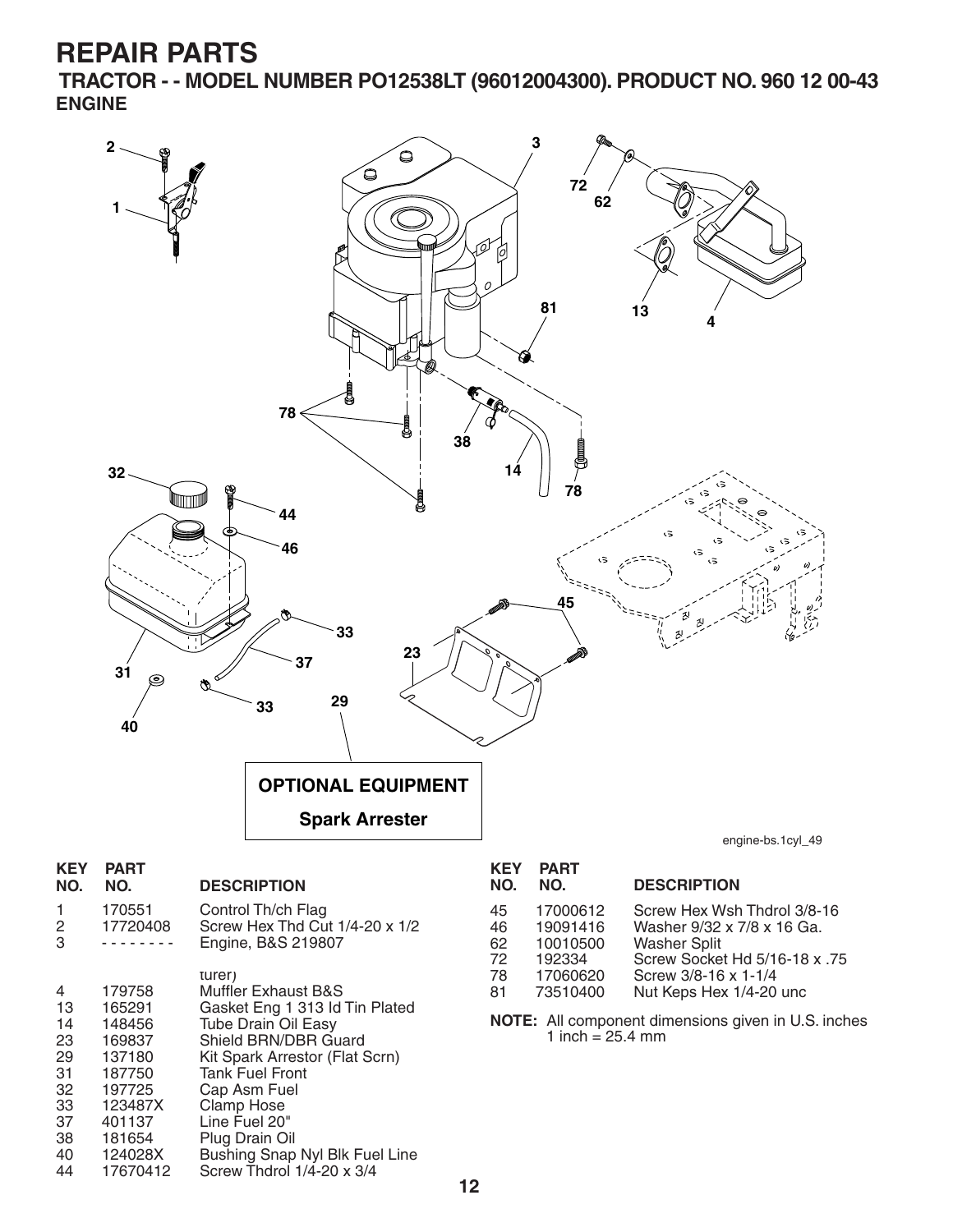33 123487X Clamp Hose 37 401137 Line Fuel 20" 38 181654 Plug Drain Oil

40 124028X Bushing Snap Nyl Blk Fuel Line<br>44 17670412 Screw Thdrol 1/4-20 x 3/4

Screw Thdrol  $1/4$ -20 x 3/4

**TRACTOR - - MODEL NUMBER PO12538LT (96012004300). PRODUCT NO. 960 12 00-43 ENGINE**

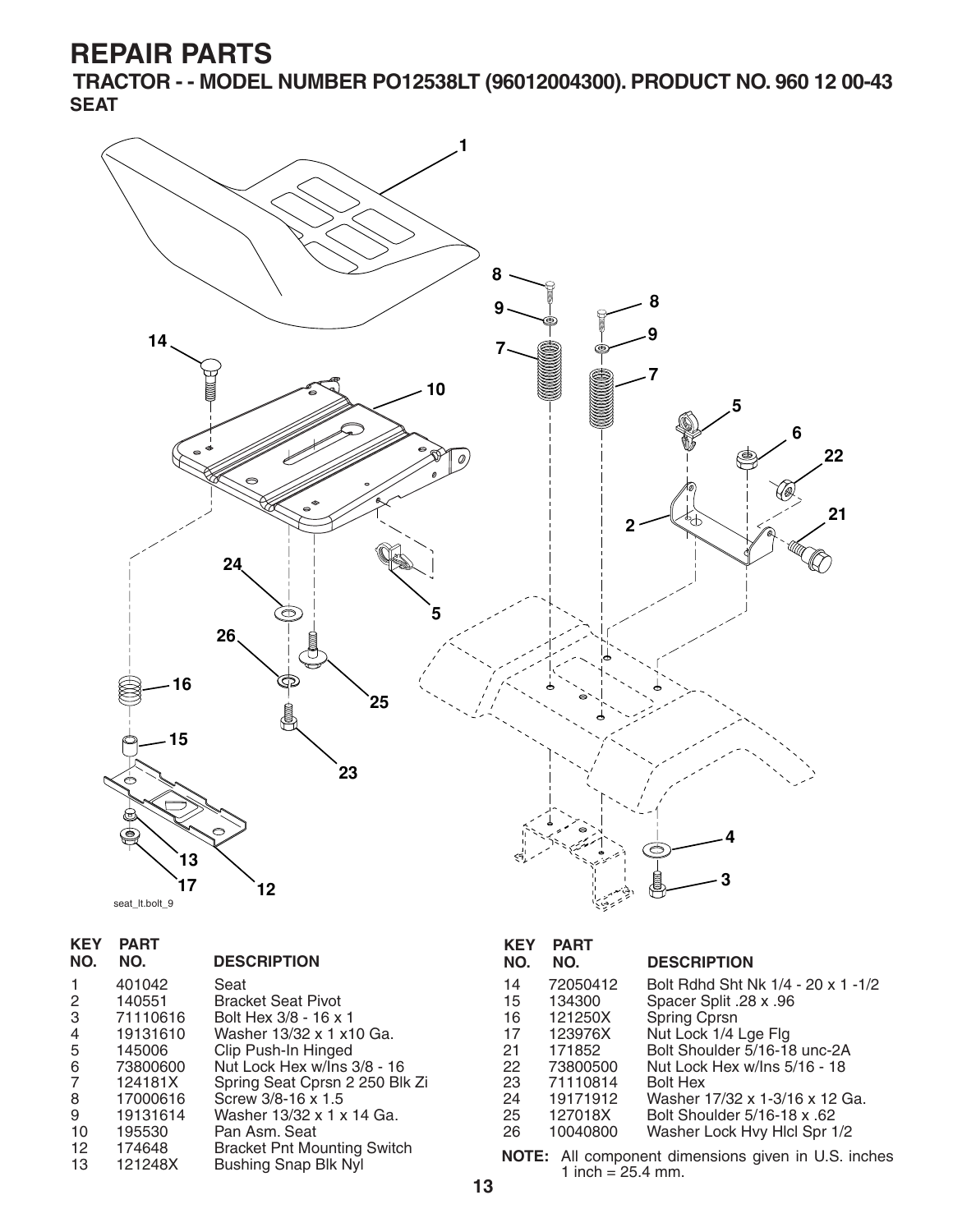**TRACTOR - - MODEL NUMBER PO12538LT (96012004300). PRODUCT NO. 960 12 00-43 SEAT**



| <b>KEY</b><br>NO. | PART<br>NO. | <b>DESCRIPTION</b>                 |
|-------------------|-------------|------------------------------------|
| 1                 | 401042      | Seat                               |
| 2                 | 140551      | <b>Bracket Seat Pivot</b>          |
| 3                 | 71110616    | Bolt Hex 3/8 - 16 x 1              |
| $\overline{4}$    | 19131610    | Washer 13/32 x 1 x 10 Ga.          |
| 5                 | 145006      | Clip Push-In Hinged                |
| 6                 | 73800600    | Nut Lock Hex w/Ins 3/8 - 16        |
| 7                 | 124181X     | Spring Seat Cprsn 2 250 Blk Zi     |
| 8                 | 17000616    | Screw 3/8-16 x 1.5                 |
| 9                 | 19131614    | Washer 13/32 x 1 x 14 Ga.          |
| 10                | 195530      | Pan Asm. Seat                      |
| $12 \,$           | 174648      | <b>Bracket Pnt Mounting Switch</b> |
| 13                | 121248X     | <b>Bushing Snap Blk Nyl</b>        |

#### **KEY PART**

| IVJ.           | IVU.     | <b>DESUNIF HUN</b>                 |
|----------------|----------|------------------------------------|
| 14             | 72050412 | Bolt Rdhd Sht Nk 1/4 - 20 x 1 -1/2 |
| 15             | 134300   | Spacer Split .28 x .96             |
| 16             | 121250X  | Spring Cprsn                       |
| 17             | 123976X  | Nut Lock 1/4 Lge Flg               |
| 21             | 171852   | Bolt Shoulder 5/16-18 unc-2A       |
| 22.            | 73800500 | Nut Lock Hex w/Ins 5/16 - 18       |
| 23.            | 71110814 | <b>Bolt Hex</b>                    |
| 24             | 19171912 | Washer 17/32 x 1-3/16 x 12 Ga.     |
| 25.            | 127018X  | Bolt Shoulder 5/16-18 x .62        |
| 26             | 10040800 | Washer Lock Hvy Hicl Spr 1/2       |
| $\blacksquare$ |          |                                    |

**NO. NO. DESCRIPTION**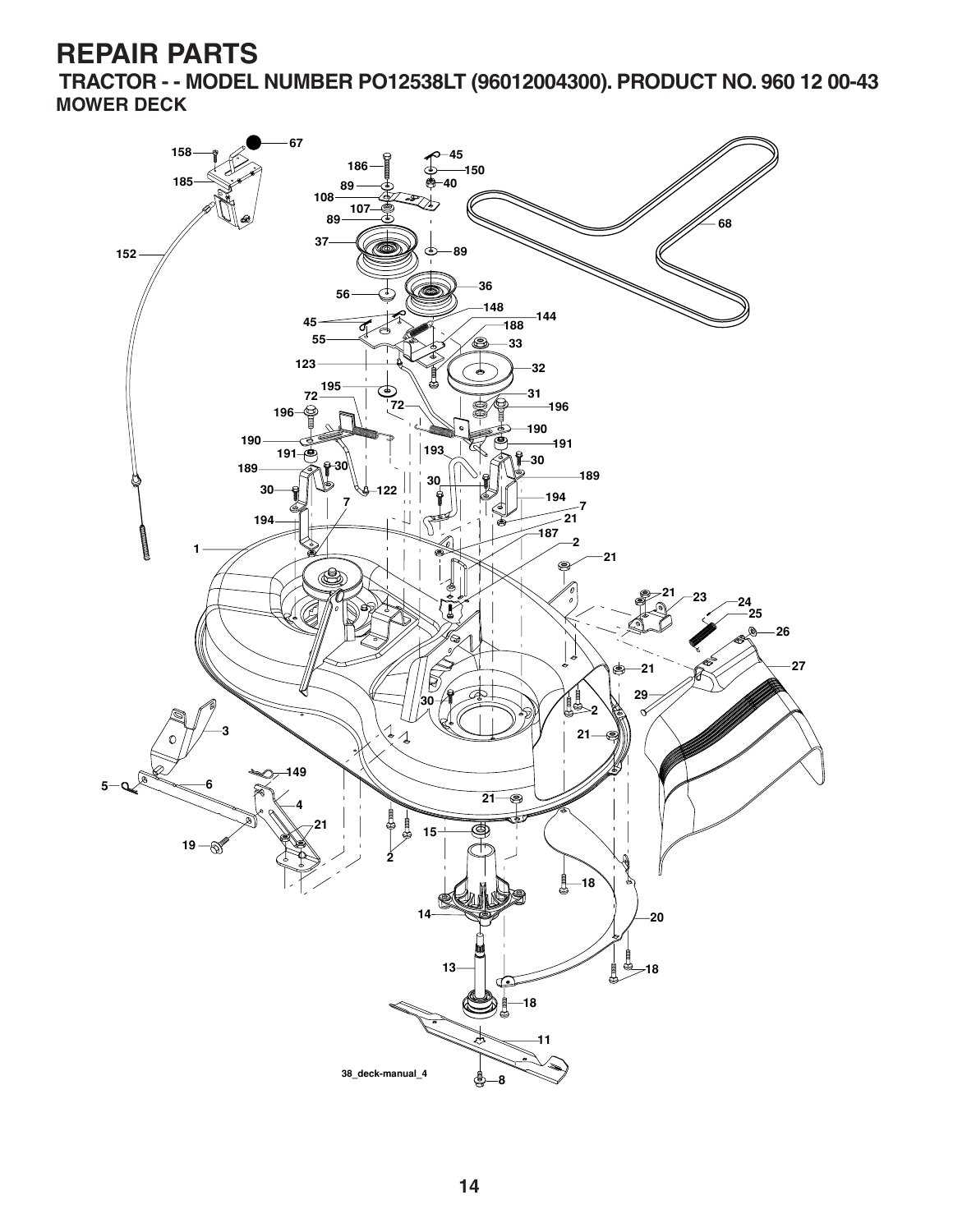**TRACTOR - - MODEL NUMBER PO12538LT (96012004300). PRODUCT NO. 960 12 00-43 MOWER DECK**

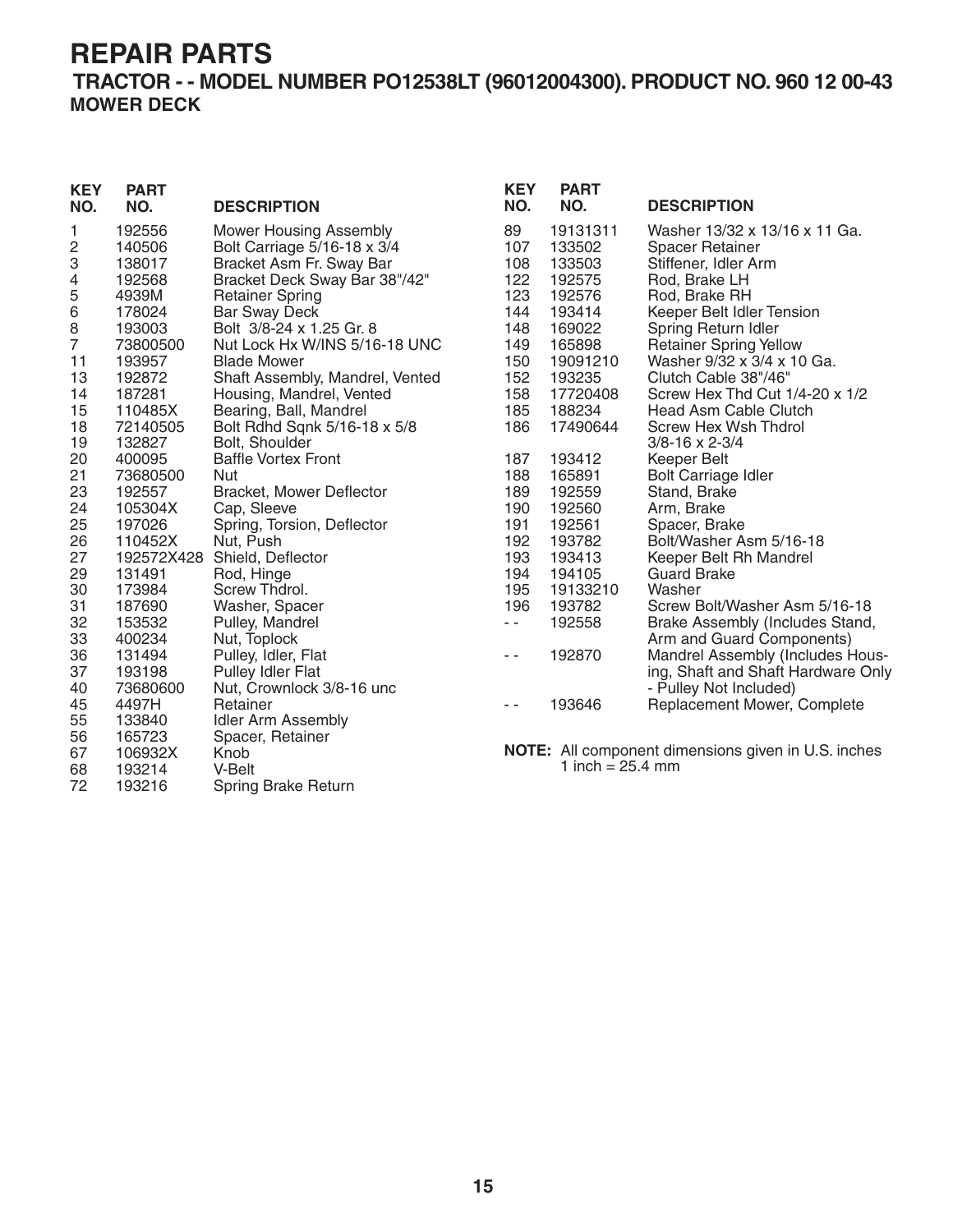72 193216 Spring Brake Return

**TRACTOR - - MODEL NUMBER PO12538LT (96012004300). PRODUCT NO. 960 12 00-43 MOWER DECK**

| <b>KEY</b><br>NO. | <b>PART</b><br>NO. | <b>DESCRIPTION</b>              | <b>KEY</b><br>NO. | <b>PART</b><br>NO. | <b>DESCRIPTION</b>                                  |
|-------------------|--------------------|---------------------------------|-------------------|--------------------|-----------------------------------------------------|
| 1                 | 192556             | <b>Mower Housing Assembly</b>   | 89                | 19131311           | Washer 13/32 x 13/16 x 11 Ga.                       |
| $\overline{c}$    | 140506             | Bolt Carriage 5/16-18 x 3/4     | 107               | 133502             | <b>Spacer Retainer</b>                              |
| 3                 | 138017             | Bracket Asm Fr. Sway Bar        | 108               | 133503             | Stiffener, Idler Arm                                |
| 4                 | 192568             | Bracket Deck Sway Bar 38"/42"   | 122               | 192575             | Rod, Brake LH                                       |
| 5                 | 4939M              | <b>Retainer Spring</b>          | 123               | 192576             | Rod, Brake RH                                       |
| 6                 | 178024             | <b>Bar Sway Deck</b>            | 144               | 193414             | Keeper Belt Idler Tension                           |
| 8                 | 193003             | Bolt 3/8-24 x 1.25 Gr. 8        | 148               | 169022             | Spring Return Idler                                 |
| 7                 | 73800500           | Nut Lock Hx W/INS 5/16-18 UNC   | 149               | 165898             | <b>Retainer Spring Yellow</b>                       |
| 11                | 193957             | <b>Blade Mower</b>              | 150               | 19091210           | Washer 9/32 x 3/4 x 10 Ga.                          |
| 13                | 192872             | Shaft Assembly, Mandrel, Vented | 152               | 193235             | Clutch Cable 38"/46"                                |
| 14                | 187281             | Housing, Mandrel, Vented        | 158               | 17720408           | Screw Hex Thd Cut $1/4-20 \times 1/2$               |
| 15                | 110485X            | Bearing, Ball, Mandrel          | 185               | 188234             | Head Asm Cable Clutch                               |
| 18                | 72140505           | Bolt Rdhd Sqnk 5/16-18 x 5/8    | 186               | 17490644           | <b>Screw Hex Wsh Thdrol</b>                         |
| 19                | 132827             | Bolt, Shoulder                  |                   |                    | $3/8 - 16 \times 2 - 3/4$                           |
| 20                | 400095             | <b>Baffle Vortex Front</b>      | 187               | 193412             | Keeper Belt                                         |
| 21                | 73680500           | <b>Nut</b>                      | 188               | 165891             | <b>Bolt Carriage Idler</b>                          |
| 23                | 192557             | Bracket, Mower Deflector        | 189               | 192559             | Stand, Brake                                        |
| 24                | 105304X            | Cap, Sleeve                     | 190               | 192560             | Arm, Brake                                          |
| 25                | 197026             | Spring, Torsion, Deflector      | 191               | 192561             | Spacer, Brake                                       |
| 26                | 110452X            | Nut, Push                       | 192               | 193782             | Bolt/Washer Asm 5/16-18                             |
| 27                |                    | 192572X428 Shield, Deflector    | 193               | 193413             | Keeper Belt Rh Mandrel                              |
| 29                | 131491             | Rod, Hinge                      | 194               | 194105             | <b>Guard Brake</b>                                  |
| 30                | 173984             | Screw Thdrol.                   | 195               | 19133210           | Washer                                              |
| 31                | 187690             | Washer, Spacer                  | 196               | 193782             | Screw Bolt/Washer Asm 5/16-18                       |
| 32                | 153532             | Pulley, Mandrel                 | $\sim$            | 192558             | Brake Assembly (Includes Stand,                     |
| 33                | 400234             | Nut, Toplock                    |                   |                    | Arm and Guard Components)                           |
| 36                | 131494             | Pulley, Idler, Flat             | $ -$              | 192870             | Mandrel Assembly (Includes Hous-                    |
| 37                | 193198             | Pulley Idler Flat               |                   |                    | ing, Shaft and Shaft Hardware Only                  |
| 40                | 73680600           | Nut, Crownlock 3/8-16 unc       |                   |                    | - Pulley Not Included)                              |
| 45                | 4497H              | Retainer                        | $ -$              | 193646             | Replacement Mower, Complete                         |
| 55                | 133840             | <b>Idler Arm Assembly</b>       |                   |                    |                                                     |
| 56                | 165723             | Spacer, Retainer                |                   |                    |                                                     |
| 67                | 106932X            | Knob                            |                   |                    | NOTE: All component dimensions given in U.S. inches |
| 68                | 193214             | V-Belt                          |                   | 1 inch = $25.4$ mm |                                                     |